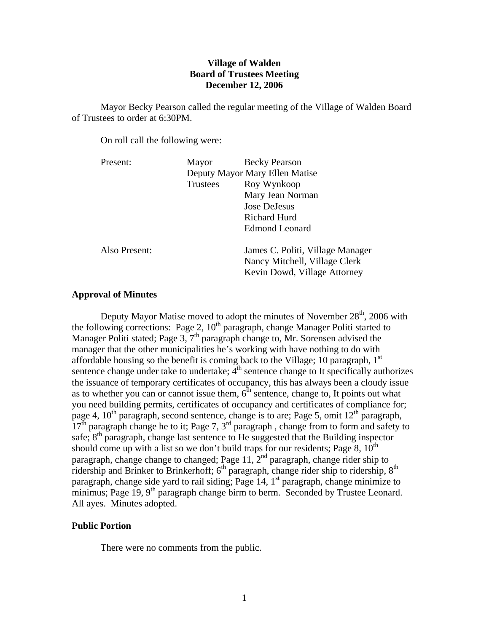# **Village of Walden Board of Trustees Meeting December 12, 2006**

 Mayor Becky Pearson called the regular meeting of the Village of Walden Board of Trustees to order at 6:30PM.

On roll call the following were:

| Present:      | Mayor                          | <b>Becky Pearson</b>                                                                              |
|---------------|--------------------------------|---------------------------------------------------------------------------------------------------|
|               | Deputy Mayor Mary Ellen Matise |                                                                                                   |
|               | Trustees                       | Roy Wynkoop                                                                                       |
|               |                                | Mary Jean Norman                                                                                  |
|               |                                | Jose DeJesus                                                                                      |
|               |                                | Richard Hurd                                                                                      |
|               |                                | <b>Edmond Leonard</b>                                                                             |
| Also Present: |                                | James C. Politi, Village Manager<br>Nancy Mitchell, Village Clerk<br>Kevin Dowd, Village Attorney |

## **Approval of Minutes**

Deputy Mayor Matise moved to adopt the minutes of November  $28<sup>th</sup>$ , 2006 with the following corrections: Page 2,  $10<sup>th</sup>$  paragraph, change Manager Politi started to Manager Politi stated; Page 3, 7<sup>th</sup> paragraph change to, Mr. Sorensen advised the manager that the other municipalities he's working with have nothing to do with affordable housing so the benefit is coming back to the Village; 10 paragraph,  $1<sup>st</sup>$ sentence change under take to undertake;  $4<sup>th</sup>$  sentence change to It specifically authorizes the issuance of temporary certificates of occupancy, this has always been a cloudy issue as to whether you can or cannot issue them,  $6<sup>th</sup>$  sentence, change to, It points out what you need building permits, certificates of occupancy and certificates of compliance for; page 4,  $10^{th}$  paragraph, second sentence, change is to are; Page 5, omit  $12^{th}$  paragraph,  $17<sup>th</sup>$  paragraph change he to it; Page 7, 3<sup>rd</sup> paragraph, change from to form and safety to safe;  $8<sup>th</sup>$  paragraph, change last sentence to He suggested that the Building inspector should come up with a list so we don't build traps for our residents; Page 8,  $10^{th}$ paragraph, change change to changed; Page 11,  $2<sup>nd</sup>$  paragraph, change rider ship to ridership and Brinker to Brinkerhoff;  $6<sup>th</sup>$  paragraph, change rider ship to ridership,  $8<sup>th</sup>$ paragraph, change side yard to rail siding; Page 14,  $1<sup>st</sup>$  paragraph, change minimize to minimus; Page 19, 9<sup>th</sup> paragraph change birm to berm. Seconded by Trustee Leonard. All ayes. Minutes adopted.

### **Public Portion**

There were no comments from the public.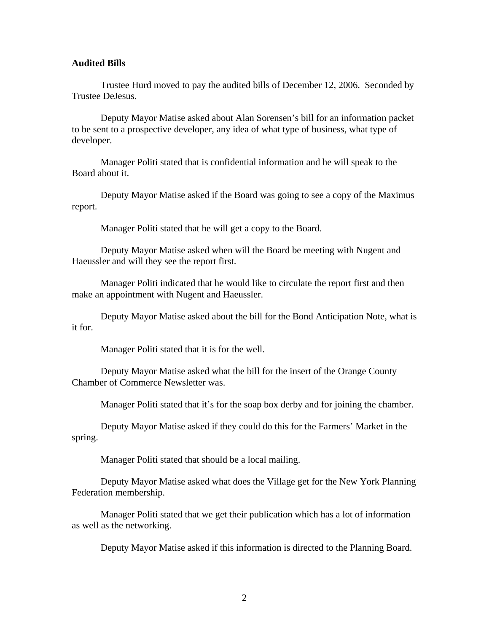#### **Audited Bills**

Trustee Hurd moved to pay the audited bills of December 12, 2006. Seconded by Trustee DeJesus.

 Deputy Mayor Matise asked about Alan Sorensen's bill for an information packet to be sent to a prospective developer, any idea of what type of business, what type of developer.

 Manager Politi stated that is confidential information and he will speak to the Board about it.

 Deputy Mayor Matise asked if the Board was going to see a copy of the Maximus report.

Manager Politi stated that he will get a copy to the Board.

 Deputy Mayor Matise asked when will the Board be meeting with Nugent and Haeussler and will they see the report first.

 Manager Politi indicated that he would like to circulate the report first and then make an appointment with Nugent and Haeussler.

 Deputy Mayor Matise asked about the bill for the Bond Anticipation Note, what is it for.

Manager Politi stated that it is for the well.

 Deputy Mayor Matise asked what the bill for the insert of the Orange County Chamber of Commerce Newsletter was.

Manager Politi stated that it's for the soap box derby and for joining the chamber.

 Deputy Mayor Matise asked if they could do this for the Farmers' Market in the spring.

Manager Politi stated that should be a local mailing.

 Deputy Mayor Matise asked what does the Village get for the New York Planning Federation membership.

 Manager Politi stated that we get their publication which has a lot of information as well as the networking.

Deputy Mayor Matise asked if this information is directed to the Planning Board.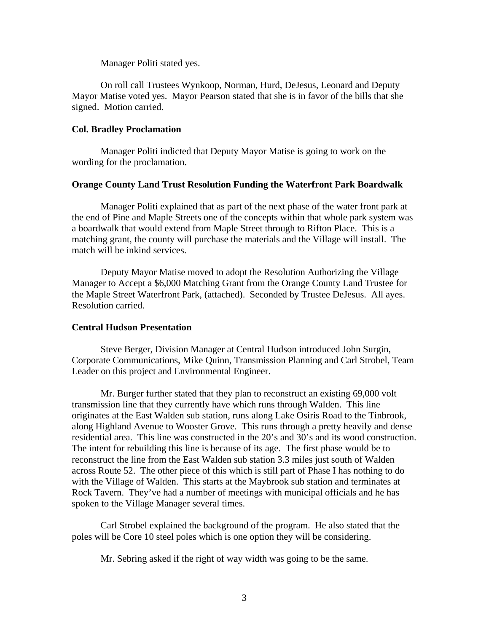Manager Politi stated yes.

 On roll call Trustees Wynkoop, Norman, Hurd, DeJesus, Leonard and Deputy Mayor Matise voted yes. Mayor Pearson stated that she is in favor of the bills that she signed. Motion carried.

### **Col. Bradley Proclamation**

Manager Politi indicted that Deputy Mayor Matise is going to work on the wording for the proclamation.

# **Orange County Land Trust Resolution Funding the Waterfront Park Boardwalk**

Manager Politi explained that as part of the next phase of the water front park at the end of Pine and Maple Streets one of the concepts within that whole park system was a boardwalk that would extend from Maple Street through to Rifton Place. This is a matching grant, the county will purchase the materials and the Village will install. The match will be inkind services.

Deputy Mayor Matise moved to adopt the Resolution Authorizing the Village Manager to Accept a \$6,000 Matching Grant from the Orange County Land Trustee for the Maple Street Waterfront Park, (attached). Seconded by Trustee DeJesus. All ayes. Resolution carried.

### **Central Hudson Presentation**

 Steve Berger, Division Manager at Central Hudson introduced John Surgin, Corporate Communications, Mike Quinn, Transmission Planning and Carl Strobel, Team Leader on this project and Environmental Engineer.

 Mr. Burger further stated that they plan to reconstruct an existing 69,000 volt transmission line that they currently have which runs through Walden. This line originates at the East Walden sub station, runs along Lake Osiris Road to the Tinbrook, along Highland Avenue to Wooster Grove. This runs through a pretty heavily and dense residential area. This line was constructed in the 20's and 30's and its wood construction. The intent for rebuilding this line is because of its age. The first phase would be to reconstruct the line from the East Walden sub station 3.3 miles just south of Walden across Route 52. The other piece of this which is still part of Phase I has nothing to do with the Village of Walden. This starts at the Maybrook sub station and terminates at Rock Tavern. They've had a number of meetings with municipal officials and he has spoken to the Village Manager several times.

 Carl Strobel explained the background of the program. He also stated that the poles will be Core 10 steel poles which is one option they will be considering.

Mr. Sebring asked if the right of way width was going to be the same.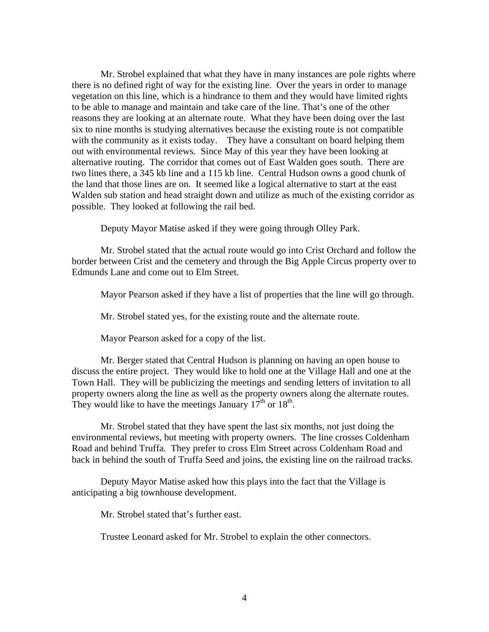Mr. Strobel explained that what they have in many instances are pole rights where there is no defined right of way for the existing line. Over the years in order to manage vegetation on this line, which is a hindrance to them and they would have limited rights to be able to manage and maintain and take care of the line. That's one of the other reasons they are looking at an alternate route. What they have been doing over the last six to nine months is studying alternatives because the existing route is not compatible with the community as it exists today. They have a consultant on board helping them out with environmental reviews. Since May of this year they have been looking at alternative routing. The corridor that comes out of East Walden goes south. There are two lines there, a 345 kb line and a 115 kb line. Central Hudson owns a good chunk of the land that those lines are on. It seemed like a logical alternative to start at the east Walden sub station and head straight down and utilize as much of the existing corridor as possible. They looked at following the rail bed.

Deputy Mayor Matise asked if they were going through Olley Park.

 Mr. Strobel stated that the actual route would go into Crist Orchard and follow the border between Crist and the cemetery and through the Big Apple Circus property over to Edmunds Lane and come out to Elm Street.

Mayor Pearson asked if they have a list of properties that the line will go through.

Mr. Strobel stated yes, for the existing route and the alternate route.

Mayor Pearson asked for a copy of the list.

 Mr. Berger stated that Central Hudson is planning on having an open house to discuss the entire project. They would like to hold one at the Village Hall and one at the Town Hall. They will be publicizing the meetings and sending letters of invitation to all property owners along the line as well as the property owners along the alternate routes. They would like to have the meetings January  $17<sup>th</sup>$  or  $18<sup>th</sup>$ .

 Mr. Strobel stated that they have spent the last six months, not just doing the environmental reviews, but meeting with property owners. The line crosses Coldenham Road and behind Truffa. They prefer to cross Elm Street across Coldenham Road and back in behind the south of Truffa Seed and joins, the existing line on the railroad tracks.

 Deputy Mayor Matise asked how this plays into the fact that the Village is anticipating a big townhouse development.

Mr. Strobel stated that's further east.

Trustee Leonard asked for Mr. Strobel to explain the other connectors.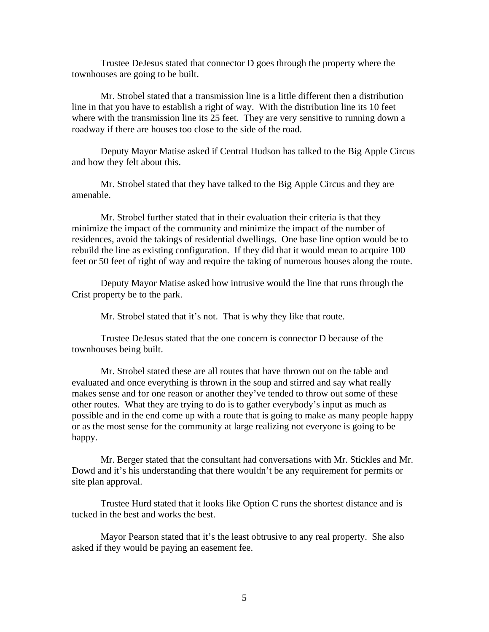Trustee DeJesus stated that connector D goes through the property where the townhouses are going to be built.

 Mr. Strobel stated that a transmission line is a little different then a distribution line in that you have to establish a right of way. With the distribution line its 10 feet where with the transmission line its 25 feet. They are very sensitive to running down a roadway if there are houses too close to the side of the road.

 Deputy Mayor Matise asked if Central Hudson has talked to the Big Apple Circus and how they felt about this.

 Mr. Strobel stated that they have talked to the Big Apple Circus and they are amenable.

 Mr. Strobel further stated that in their evaluation their criteria is that they minimize the impact of the community and minimize the impact of the number of residences, avoid the takings of residential dwellings. One base line option would be to rebuild the line as existing configuration. If they did that it would mean to acquire 100 feet or 50 feet of right of way and require the taking of numerous houses along the route.

 Deputy Mayor Matise asked how intrusive would the line that runs through the Crist property be to the park.

Mr. Strobel stated that it's not. That is why they like that route.

 Trustee DeJesus stated that the one concern is connector D because of the townhouses being built.

 Mr. Strobel stated these are all routes that have thrown out on the table and evaluated and once everything is thrown in the soup and stirred and say what really makes sense and for one reason or another they've tended to throw out some of these other routes. What they are trying to do is to gather everybody's input as much as possible and in the end come up with a route that is going to make as many people happy or as the most sense for the community at large realizing not everyone is going to be happy.

 Mr. Berger stated that the consultant had conversations with Mr. Stickles and Mr. Dowd and it's his understanding that there wouldn't be any requirement for permits or site plan approval.

 Trustee Hurd stated that it looks like Option C runs the shortest distance and is tucked in the best and works the best.

 Mayor Pearson stated that it's the least obtrusive to any real property. She also asked if they would be paying an easement fee.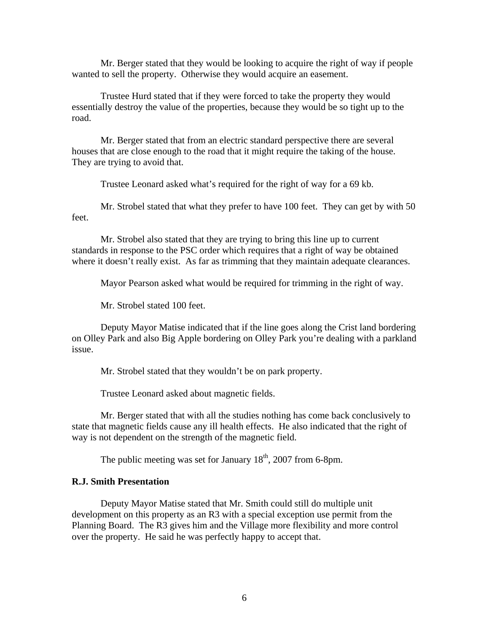Mr. Berger stated that they would be looking to acquire the right of way if people wanted to sell the property. Otherwise they would acquire an easement.

 Trustee Hurd stated that if they were forced to take the property they would essentially destroy the value of the properties, because they would be so tight up to the road.

 Mr. Berger stated that from an electric standard perspective there are several houses that are close enough to the road that it might require the taking of the house. They are trying to avoid that.

Trustee Leonard asked what's required for the right of way for a 69 kb.

 Mr. Strobel stated that what they prefer to have 100 feet. They can get by with 50 feet.

 Mr. Strobel also stated that they are trying to bring this line up to current standards in response to the PSC order which requires that a right of way be obtained where it doesn't really exist. As far as trimming that they maintain adequate clearances.

Mayor Pearson asked what would be required for trimming in the right of way.

Mr. Strobel stated 100 feet.

 Deputy Mayor Matise indicated that if the line goes along the Crist land bordering on Olley Park and also Big Apple bordering on Olley Park you're dealing with a parkland issue.

Mr. Strobel stated that they wouldn't be on park property.

Trustee Leonard asked about magnetic fields.

 Mr. Berger stated that with all the studies nothing has come back conclusively to state that magnetic fields cause any ill health effects. He also indicated that the right of way is not dependent on the strength of the magnetic field.

The public meeting was set for January  $18<sup>th</sup>$ , 2007 from 6-8pm.

#### **R.J. Smith Presentation**

Deputy Mayor Matise stated that Mr. Smith could still do multiple unit development on this property as an R3 with a special exception use permit from the Planning Board. The R3 gives him and the Village more flexibility and more control over the property. He said he was perfectly happy to accept that.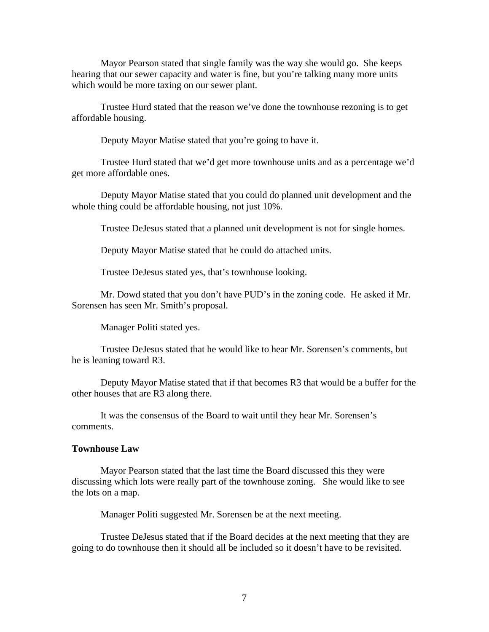Mayor Pearson stated that single family was the way she would go. She keeps hearing that our sewer capacity and water is fine, but you're talking many more units which would be more taxing on our sewer plant.

 Trustee Hurd stated that the reason we've done the townhouse rezoning is to get affordable housing.

Deputy Mayor Matise stated that you're going to have it.

 Trustee Hurd stated that we'd get more townhouse units and as a percentage we'd get more affordable ones.

 Deputy Mayor Matise stated that you could do planned unit development and the whole thing could be affordable housing, not just 10%.

Trustee DeJesus stated that a planned unit development is not for single homes.

Deputy Mayor Matise stated that he could do attached units.

Trustee DeJesus stated yes, that's townhouse looking.

 Mr. Dowd stated that you don't have PUD's in the zoning code. He asked if Mr. Sorensen has seen Mr. Smith's proposal.

Manager Politi stated yes.

 Trustee DeJesus stated that he would like to hear Mr. Sorensen's comments, but he is leaning toward R3.

 Deputy Mayor Matise stated that if that becomes R3 that would be a buffer for the other houses that are R3 along there.

It was the consensus of the Board to wait until they hear Mr. Sorensen's comments.

#### **Townhouse Law**

Mayor Pearson stated that the last time the Board discussed this they were discussing which lots were really part of the townhouse zoning. She would like to see the lots on a map.

Manager Politi suggested Mr. Sorensen be at the next meeting.

 Trustee DeJesus stated that if the Board decides at the next meeting that they are going to do townhouse then it should all be included so it doesn't have to be revisited.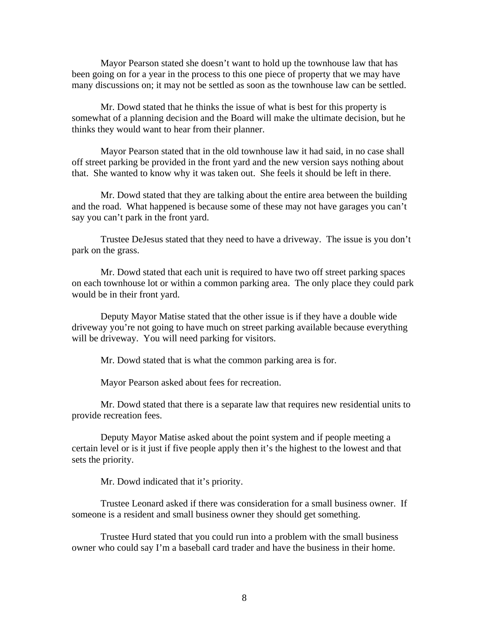Mayor Pearson stated she doesn't want to hold up the townhouse law that has been going on for a year in the process to this one piece of property that we may have many discussions on; it may not be settled as soon as the townhouse law can be settled.

 Mr. Dowd stated that he thinks the issue of what is best for this property is somewhat of a planning decision and the Board will make the ultimate decision, but he thinks they would want to hear from their planner.

 Mayor Pearson stated that in the old townhouse law it had said, in no case shall off street parking be provided in the front yard and the new version says nothing about that. She wanted to know why it was taken out. She feels it should be left in there.

 Mr. Dowd stated that they are talking about the entire area between the building and the road. What happened is because some of these may not have garages you can't say you can't park in the front yard.

 Trustee DeJesus stated that they need to have a driveway. The issue is you don't park on the grass.

 Mr. Dowd stated that each unit is required to have two off street parking spaces on each townhouse lot or within a common parking area. The only place they could park would be in their front yard.

 Deputy Mayor Matise stated that the other issue is if they have a double wide driveway you're not going to have much on street parking available because everything will be driveway. You will need parking for visitors.

Mr. Dowd stated that is what the common parking area is for.

Mayor Pearson asked about fees for recreation.

 Mr. Dowd stated that there is a separate law that requires new residential units to provide recreation fees.

 Deputy Mayor Matise asked about the point system and if people meeting a certain level or is it just if five people apply then it's the highest to the lowest and that sets the priority.

Mr. Dowd indicated that it's priority.

 Trustee Leonard asked if there was consideration for a small business owner. If someone is a resident and small business owner they should get something.

 Trustee Hurd stated that you could run into a problem with the small business owner who could say I'm a baseball card trader and have the business in their home.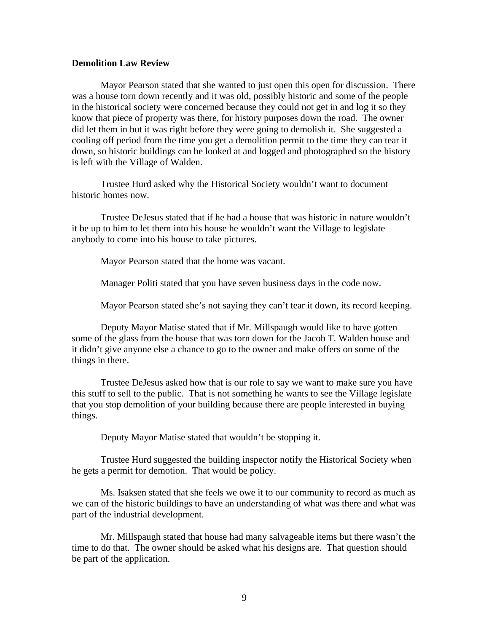### **Demolition Law Review**

Mayor Pearson stated that she wanted to just open this open for discussion. There was a house torn down recently and it was old, possibly historic and some of the people in the historical society were concerned because they could not get in and log it so they know that piece of property was there, for history purposes down the road. The owner did let them in but it was right before they were going to demolish it. She suggested a cooling off period from the time you get a demolition permit to the time they can tear it down, so historic buildings can be looked at and logged and photographed so the history is left with the Village of Walden.

 Trustee Hurd asked why the Historical Society wouldn't want to document historic homes now.

 Trustee DeJesus stated that if he had a house that was historic in nature wouldn't it be up to him to let them into his house he wouldn't want the Village to legislate anybody to come into his house to take pictures.

Mayor Pearson stated that the home was vacant.

Manager Politi stated that you have seven business days in the code now.

Mayor Pearson stated she's not saying they can't tear it down, its record keeping.

 Deputy Mayor Matise stated that if Mr. Millspaugh would like to have gotten some of the glass from the house that was torn down for the Jacob T. Walden house and it didn't give anyone else a chance to go to the owner and make offers on some of the things in there.

 Trustee DeJesus asked how that is our role to say we want to make sure you have this stuff to sell to the public. That is not something he wants to see the Village legislate that you stop demolition of your building because there are people interested in buying things.

Deputy Mayor Matise stated that wouldn't be stopping it.

 Trustee Hurd suggested the building inspector notify the Historical Society when he gets a permit for demotion. That would be policy.

 Ms. Isaksen stated that she feels we owe it to our community to record as much as we can of the historic buildings to have an understanding of what was there and what was part of the industrial development.

 Mr. Millspaugh stated that house had many salvageable items but there wasn't the time to do that. The owner should be asked what his designs are. That question should be part of the application.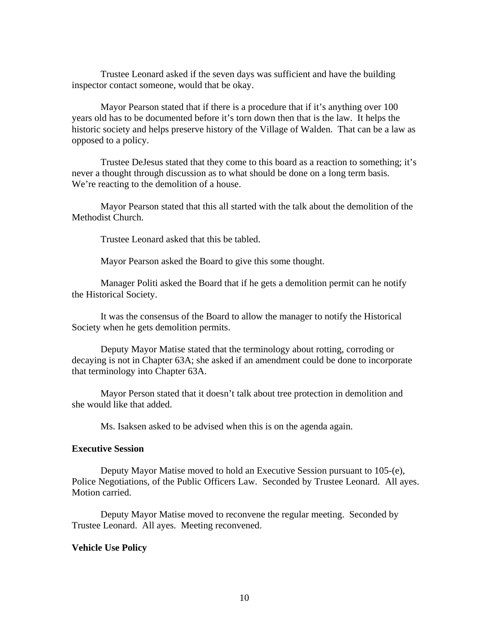Trustee Leonard asked if the seven days was sufficient and have the building inspector contact someone, would that be okay.

 Mayor Pearson stated that if there is a procedure that if it's anything over 100 years old has to be documented before it's torn down then that is the law. It helps the historic society and helps preserve history of the Village of Walden. That can be a law as opposed to a policy.

 Trustee DeJesus stated that they come to this board as a reaction to something; it's never a thought through discussion as to what should be done on a long term basis. We're reacting to the demolition of a house.

Mayor Pearson stated that this all started with the talk about the demolition of the Methodist Church.

Trustee Leonard asked that this be tabled.

Mayor Pearson asked the Board to give this some thought.

 Manager Politi asked the Board that if he gets a demolition permit can he notify the Historical Society.

 It was the consensus of the Board to allow the manager to notify the Historical Society when he gets demolition permits.

 Deputy Mayor Matise stated that the terminology about rotting, corroding or decaying is not in Chapter 63A; she asked if an amendment could be done to incorporate that terminology into Chapter 63A.

 Mayor Person stated that it doesn't talk about tree protection in demolition and she would like that added.

Ms. Isaksen asked to be advised when this is on the agenda again.

### **Executive Session**

Deputy Mayor Matise moved to hold an Executive Session pursuant to 105-(e), Police Negotiations, of the Public Officers Law. Seconded by Trustee Leonard. All ayes. Motion carried.

 Deputy Mayor Matise moved to reconvene the regular meeting. Seconded by Trustee Leonard. All ayes. Meeting reconvened.

#### **Vehicle Use Policy**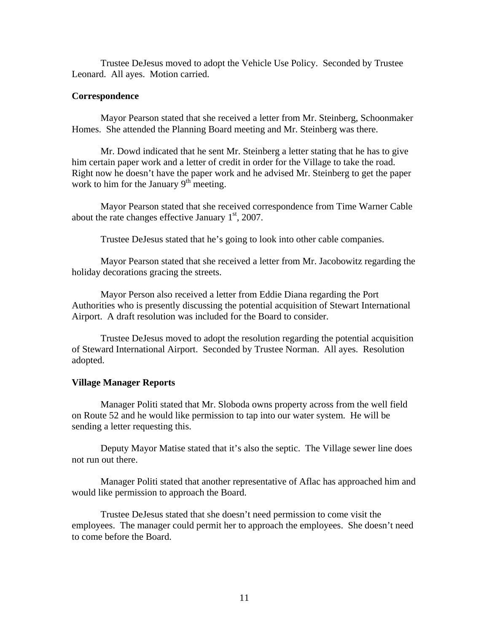Trustee DeJesus moved to adopt the Vehicle Use Policy. Seconded by Trustee Leonard. All ayes. Motion carried.

### **Correspondence**

Mayor Pearson stated that she received a letter from Mr. Steinberg, Schoonmaker Homes. She attended the Planning Board meeting and Mr. Steinberg was there.

 Mr. Dowd indicated that he sent Mr. Steinberg a letter stating that he has to give him certain paper work and a letter of credit in order for the Village to take the road. Right now he doesn't have the paper work and he advised Mr. Steinberg to get the paper work to him for the January  $9<sup>th</sup>$  meeting.

 Mayor Pearson stated that she received correspondence from Time Warner Cable about the rate changes effective January  $1<sup>st</sup>$ , 2007.

Trustee DeJesus stated that he's going to look into other cable companies.

 Mayor Pearson stated that she received a letter from Mr. Jacobowitz regarding the holiday decorations gracing the streets.

 Mayor Person also received a letter from Eddie Diana regarding the Port Authorities who is presently discussing the potential acquisition of Stewart International Airport. A draft resolution was included for the Board to consider.

 Trustee DeJesus moved to adopt the resolution regarding the potential acquisition of Steward International Airport. Seconded by Trustee Norman. All ayes. Resolution adopted.

#### **Village Manager Reports**

Manager Politi stated that Mr. Sloboda owns property across from the well field on Route 52 and he would like permission to tap into our water system. He will be sending a letter requesting this.

 Deputy Mayor Matise stated that it's also the septic. The Village sewer line does not run out there.

 Manager Politi stated that another representative of Aflac has approached him and would like permission to approach the Board.

 Trustee DeJesus stated that she doesn't need permission to come visit the employees. The manager could permit her to approach the employees. She doesn't need to come before the Board.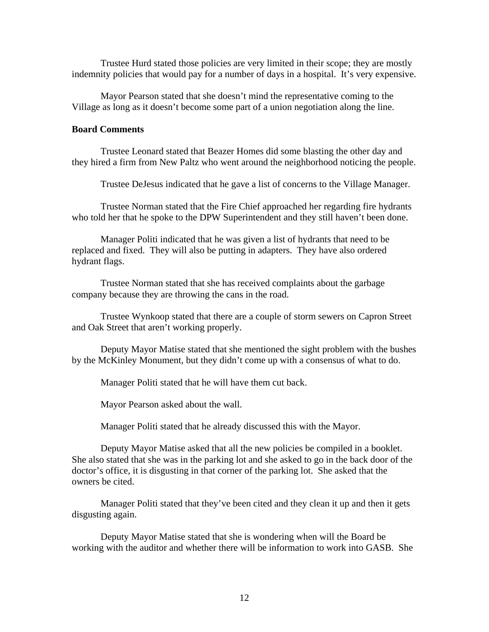Trustee Hurd stated those policies are very limited in their scope; they are mostly indemnity policies that would pay for a number of days in a hospital. It's very expensive.

Mayor Pearson stated that she doesn't mind the representative coming to the Village as long as it doesn't become some part of a union negotiation along the line.

# **Board Comments**

Trustee Leonard stated that Beazer Homes did some blasting the other day and they hired a firm from New Paltz who went around the neighborhood noticing the people.

Trustee DeJesus indicated that he gave a list of concerns to the Village Manager.

 Trustee Norman stated that the Fire Chief approached her regarding fire hydrants who told her that he spoke to the DPW Superintendent and they still haven't been done.

 Manager Politi indicated that he was given a list of hydrants that need to be replaced and fixed. They will also be putting in adapters. They have also ordered hydrant flags.

 Trustee Norman stated that she has received complaints about the garbage company because they are throwing the cans in the road.

 Trustee Wynkoop stated that there are a couple of storm sewers on Capron Street and Oak Street that aren't working properly.

 Deputy Mayor Matise stated that she mentioned the sight problem with the bushes by the McKinley Monument, but they didn't come up with a consensus of what to do.

Manager Politi stated that he will have them cut back.

Mayor Pearson asked about the wall.

Manager Politi stated that he already discussed this with the Mayor.

 Deputy Mayor Matise asked that all the new policies be compiled in a booklet. She also stated that she was in the parking lot and she asked to go in the back door of the doctor's office, it is disgusting in that corner of the parking lot. She asked that the owners be cited.

 Manager Politi stated that they've been cited and they clean it up and then it gets disgusting again.

 Deputy Mayor Matise stated that she is wondering when will the Board be working with the auditor and whether there will be information to work into GASB. She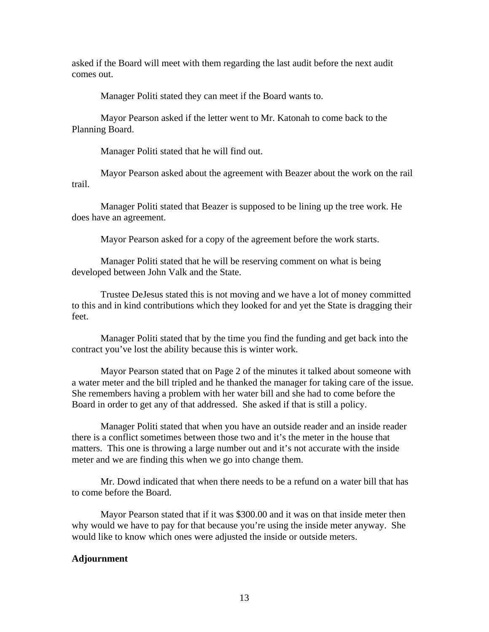asked if the Board will meet with them regarding the last audit before the next audit comes out.

Manager Politi stated they can meet if the Board wants to.

 Mayor Pearson asked if the letter went to Mr. Katonah to come back to the Planning Board.

Manager Politi stated that he will find out.

 Mayor Pearson asked about the agreement with Beazer about the work on the rail trail.

 Manager Politi stated that Beazer is supposed to be lining up the tree work. He does have an agreement.

Mayor Pearson asked for a copy of the agreement before the work starts.

 Manager Politi stated that he will be reserving comment on what is being developed between John Valk and the State.

 Trustee DeJesus stated this is not moving and we have a lot of money committed to this and in kind contributions which they looked for and yet the State is dragging their feet.

 Manager Politi stated that by the time you find the funding and get back into the contract you've lost the ability because this is winter work.

 Mayor Pearson stated that on Page 2 of the minutes it talked about someone with a water meter and the bill tripled and he thanked the manager for taking care of the issue. She remembers having a problem with her water bill and she had to come before the Board in order to get any of that addressed. She asked if that is still a policy.

 Manager Politi stated that when you have an outside reader and an inside reader there is a conflict sometimes between those two and it's the meter in the house that matters. This one is throwing a large number out and it's not accurate with the inside meter and we are finding this when we go into change them.

 Mr. Dowd indicated that when there needs to be a refund on a water bill that has to come before the Board.

 Mayor Pearson stated that if it was \$300.00 and it was on that inside meter then why would we have to pay for that because you're using the inside meter anyway. She would like to know which ones were adjusted the inside or outside meters.

## **Adjournment**